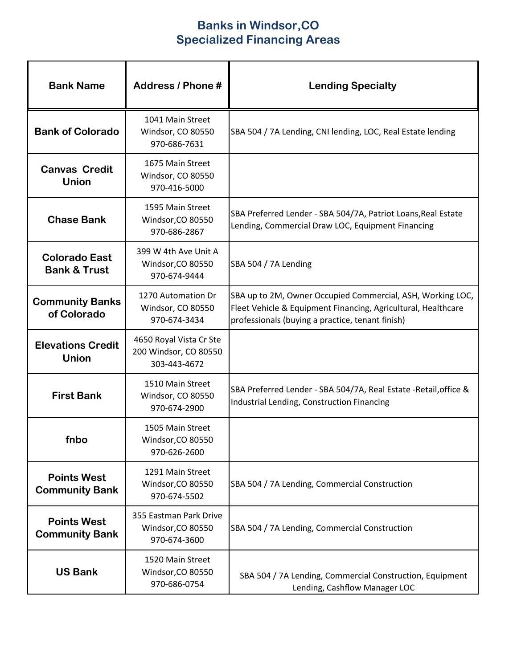## **Banks in Windsor,CO Specialized Financing Areas**

| <b>Bank Name</b>                                | Address / Phone #                                                | <b>Lending Specialty</b>                                                                                                                                                        |
|-------------------------------------------------|------------------------------------------------------------------|---------------------------------------------------------------------------------------------------------------------------------------------------------------------------------|
| <b>Bank of Colorado</b>                         | 1041 Main Street<br>Windsor, CO 80550<br>970-686-7631            | SBA 504 / 7A Lending, CNI lending, LOC, Real Estate lending                                                                                                                     |
| <b>Canvas Credit</b><br><b>Union</b>            | 1675 Main Street<br>Windsor, CO 80550<br>970-416-5000            |                                                                                                                                                                                 |
| <b>Chase Bank</b>                               | 1595 Main Street<br>Windsor, CO 80550<br>970-686-2867            | SBA Preferred Lender - SBA 504/7A, Patriot Loans, Real Estate<br>Lending, Commercial Draw LOC, Equipment Financing                                                              |
| <b>Colorado East</b><br><b>Bank &amp; Trust</b> | 399 W 4th Ave Unit A<br>Windsor, CO 80550<br>970-674-9444        | SBA 504 / 7A Lending                                                                                                                                                            |
| <b>Community Banks</b><br>of Colorado           | 1270 Automation Dr<br>Windsor, CO 80550<br>970-674-3434          | SBA up to 2M, Owner Occupied Commercial, ASH, Working LOC,<br>Fleet Vehicle & Equipment Financing, Agricultural, Healthcare<br>professionals (buying a practice, tenant finish) |
| <b>Elevations Credit</b><br><b>Union</b>        | 4650 Royal Vista Cr Ste<br>200 Windsor, CO 80550<br>303-443-4672 |                                                                                                                                                                                 |
| <b>First Bank</b>                               | 1510 Main Street<br>Windsor, CO 80550<br>970-674-2900            | SBA Preferred Lender - SBA 504/7A, Real Estate - Retail, office &<br>Industrial Lending, Construction Financing                                                                 |
| fnbo                                            | 1505 Main Street<br>Windsor, CO 80550<br>970-626-2600            |                                                                                                                                                                                 |
| <b>Points West</b><br><b>Community Bank</b>     | 1291 Main Street<br>Windsor, CO 80550<br>970-674-5502            | SBA 504 / 7A Lending, Commercial Construction                                                                                                                                   |
| <b>Points West</b><br><b>Community Bank</b>     | 355 Eastman Park Drive<br>Windsor, CO 80550<br>970-674-3600      | SBA 504 / 7A Lending, Commercial Construction                                                                                                                                   |
| <b>US Bank</b>                                  | 1520 Main Street<br>Windsor, CO 80550<br>970-686-0754            | SBA 504 / 7A Lending, Commercial Construction, Equipment<br>Lending, Cashflow Manager LOC                                                                                       |